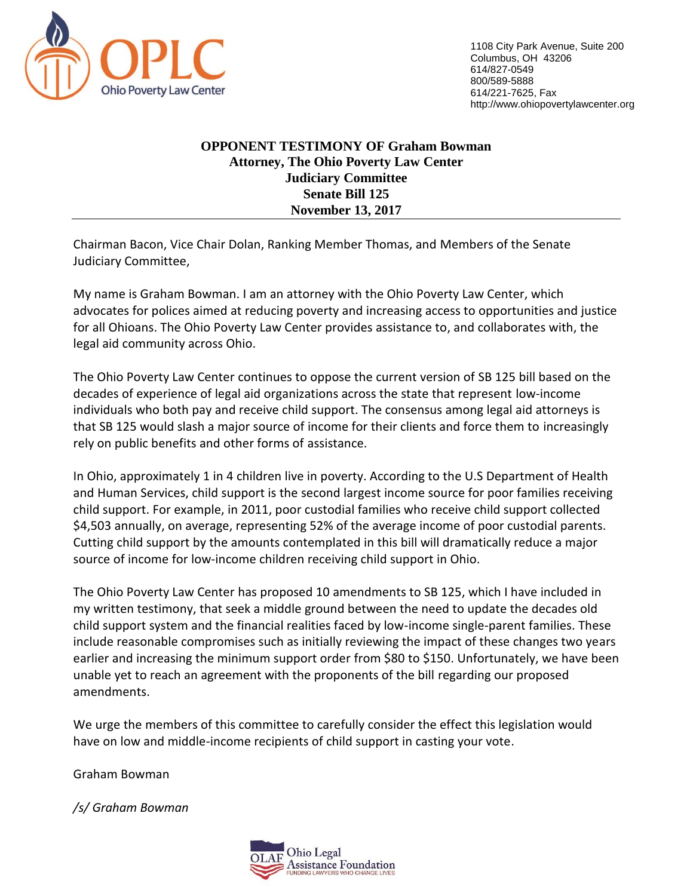

1108 City Park Avenue, Suite 200 Columbus, OH 43206 614/827-0549 800/589-5888 614/221-7625, Fax http://www.ohiopovertylawcenter.org

#### **OPPONENT TESTIMONY OF Graham Bowman Attorney, The Ohio Poverty Law Center Judiciary Committee Senate Bill 125 November 13, 2017**

Chairman Bacon, Vice Chair Dolan, Ranking Member Thomas, and Members of the Senate Judiciary Committee,

My name is Graham Bowman. I am an attorney with the Ohio Poverty Law Center, which advocates for polices aimed at reducing poverty and increasing access to opportunities and justice for all Ohioans. The Ohio Poverty Law Center provides assistance to, and collaborates with, the legal aid community across Ohio.

The Ohio Poverty Law Center continues to oppose the current version of SB 125 bill based on the decades of experience of legal aid organizations across the state that represent low-income individuals who both pay and receive child support. The consensus among legal aid attorneys is that SB 125 would slash a major source of income for their clients and force them to increasingly rely on public benefits and other forms of assistance.

In Ohio, approximately 1 in 4 children live in poverty. According to the U.S Department of Health and Human Services, child support is the second largest income source for poor families receiving child support. For example, in 2011, poor custodial families who receive child support collected \$4,503 annually, on average, representing 52% of the average income of poor custodial parents. Cutting child support by the amounts contemplated in this bill will dramatically reduce a major source of income for low-income children receiving child support in Ohio.

The Ohio Poverty Law Center has proposed 10 amendments to SB 125, which I have included in my written testimony, that seek a middle ground between the need to update the decades old child support system and the financial realities faced by low-income single-parent families. These include reasonable compromises such as initially reviewing the impact of these changes two years earlier and increasing the minimum support order from \$80 to \$150. Unfortunately, we have been unable yet to reach an agreement with the proponents of the bill regarding our proposed amendments.

We urge the members of this committee to carefully consider the effect this legislation would have on low and middle-income recipients of child support in casting your vote.

Graham Bowman

*/s/ Graham Bowman*

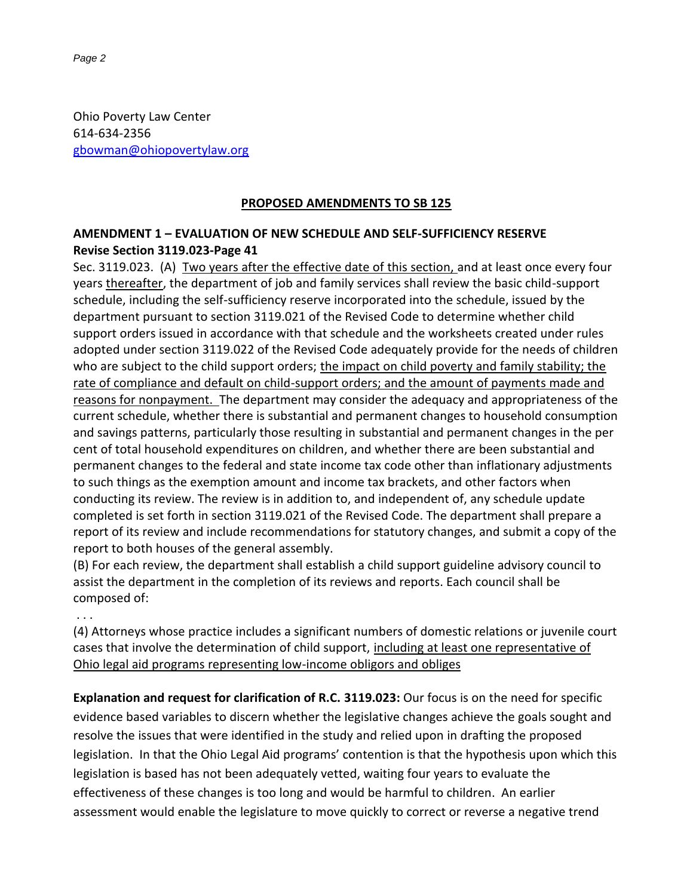Ohio Poverty Law Center 614-634-2356 [gbowman@ohiopovertylaw.org](mailto:gbowman@ohiopovertylaw.org)

#### **PROPOSED AMENDMENTS TO SB 125**

### **AMENDMENT 1 – EVALUATION OF NEW SCHEDULE AND SELF-SUFFICIENCY RESERVE Revise Section 3119.023-Page 41**

Sec. 3119.023. (A) Two years after the effective date of this section, and at least once every four years thereafter, the department of job and family services shall review the basic child-support schedule, including the self-sufficiency reserve incorporated into the schedule, issued by the department pursuant to section 3119.021 of the Revised Code to determine whether child support orders issued in accordance with that schedule and the worksheets created under rules adopted under section 3119.022 of the Revised Code adequately provide for the needs of children who are subject to the child support orders; the impact on child poverty and family stability; the rate of compliance and default on child-support orders; and the amount of payments made and reasons for nonpayment. The department may consider the adequacy and appropriateness of the current schedule, whether there is substantial and permanent changes to household consumption and savings patterns, particularly those resulting in substantial and permanent changes in the per cent of total household expenditures on children, and whether there are been substantial and permanent changes to the federal and state income tax code other than inflationary adjustments to such things as the exemption amount and income tax brackets, and other factors when conducting its review. The review is in addition to, and independent of, any schedule update completed is set forth in section 3119.021 of the Revised Code. The department shall prepare a report of its review and include recommendations for statutory changes, and submit a copy of the report to both houses of the general assembly.

(B) For each review, the department shall establish a child support guideline advisory council to assist the department in the completion of its reviews and reports. Each council shall be composed of:

. . .

(4) Attorneys whose practice includes a significant numbers of domestic relations or juvenile court cases that involve the determination of child support, including at least one representative of Ohio legal aid programs representing low-income obligors and obliges

**Explanation and request for clarification of R.C. 3119.023:** Our focus is on the need for specific evidence based variables to discern whether the legislative changes achieve the goals sought and resolve the issues that were identified in the study and relied upon in drafting the proposed legislation. In that the Ohio Legal Aid programs' contention is that the hypothesis upon which this legislation is based has not been adequately vetted, waiting four years to evaluate the effectiveness of these changes is too long and would be harmful to children. An earlier assessment would enable the legislature to move quickly to correct or reverse a negative trend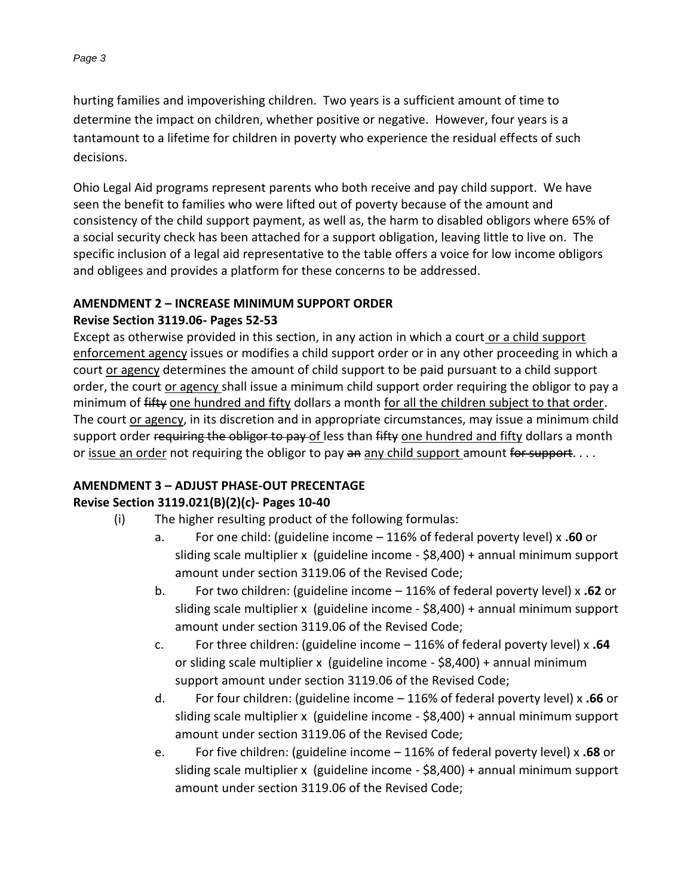hurting families and impoverishing children. Two years is a sufficient amount of time to determine the impact on children, whether positive or negative. However, four years is a tantamount to a lifetime for children in poverty who experience the residual effects of such decisions.

Ohio Legal Aid programs represent parents who both receive and pay child support. We have seen the benefit to families who were lifted out of poverty because of the amount and consistency of the child support payment, as well as, the harm to disabled obligors where 65% of a social security check has been attached for a support obligation, leaving little to live on. The specific inclusion of a legal aid representative to the table offers a voice for low income obligors and obligees and provides a platform for these concerns to be addressed.

#### **AMENDMENT 2 – INCREASE MINIMUM SUPPORT ORDER**

#### **Revise Section 3119.06- Pages 52-53**

Except as otherwise provided in this section, in any action in which a court or a child support enforcement agency issues or modifies a child support order or in any other proceeding in which a court or agency determines the amount of child support to be paid pursuant to a child support order, the court or agency shall issue a minimum child support order requiring the obligor to pay a minimum of fifty one hundred and fifty dollars a month for all the children subject to that order. The court or agency, in its discretion and in appropriate circumstances, may issue a minimum child support order requiring the obligor to pay of less than fifty one hundred and fifty dollars a month or issue an order not requiring the obligor to pay an any child support amount for support....

### **AMENDMENT 3 – ADJUST PHASE-OUT PRECENTAGE**

### **Revise Section 3119.021(B)(2)(c)- Pages 10-40**

- (i) The higher resulting product of the following formulas:
	- a. For one child: (guideline income 116% of federal poverty level) x **.60** or sliding scale multiplier x (guideline income - \$8,400) + annual minimum support amount under section 3119.06 of the Revised Code;
	- b. For two children: (guideline income 116% of federal poverty level) x **.62** or sliding scale multiplier x (guideline income - \$8,400) + annual minimum support amount under section 3119.06 of the Revised Code;
	- c. For three children: (guideline income 116% of federal poverty level) x **.64** or sliding scale multiplier x (guideline income - \$8,400) + annual minimum support amount under section 3119.06 of the Revised Code;
	- d. For four children: (guideline income 116% of federal poverty level) x **.66** or sliding scale multiplier x (guideline income - \$8,400) + annual minimum support amount under section 3119.06 of the Revised Code;
	- e. For five children: (guideline income 116% of federal poverty level) x **.68** or sliding scale multiplier x (guideline income - \$8,400) + annual minimum support amount under section 3119.06 of the Revised Code;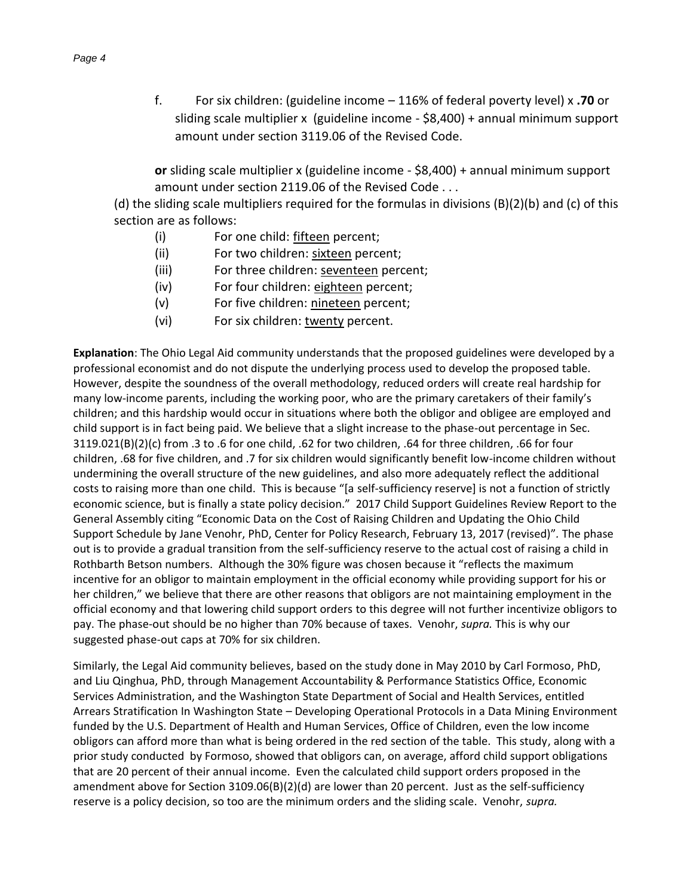f. For six children: (guideline income – 116% of federal poverty level) x **.70** or sliding scale multiplier x (guideline income - \$8,400) + annual minimum support amount under section 3119.06 of the Revised Code.

**or** sliding scale multiplier x (guideline income - \$8,400) + annual minimum support amount under section 2119.06 of the Revised Code . . .

(d) the sliding scale multipliers required for the formulas in divisions (B)(2)(b) and (c) of this section are as follows:

- (i) For one child: fifteen percent;
- (ii) For two children: sixteen percent;
- (iii) For three children: seventeen percent;
- (iv) For four children: eighteen percent;
- (v) For five children: nineteen percent;
- (vi) For six children: twenty percent.

**Explanation**: The Ohio Legal Aid community understands that the proposed guidelines were developed by a professional economist and do not dispute the underlying process used to develop the proposed table. However, despite the soundness of the overall methodology, reduced orders will create real hardship for many low-income parents, including the working poor, who are the primary caretakers of their family's children; and this hardship would occur in situations where both the obligor and obligee are employed and child support is in fact being paid. We believe that a slight increase to the phase-out percentage in Sec. 3119.021(B)(2)(c) from .3 to .6 for one child, .62 for two children, .64 for three children, .66 for four children, .68 for five children, and .7 for six children would significantly benefit low-income children without undermining the overall structure of the new guidelines, and also more adequately reflect the additional costs to raising more than one child. This is because "[a self-sufficiency reserve] is not a function of strictly economic science, but is finally a state policy decision." 2017 Child Support Guidelines Review Report to the General Assembly citing "Economic Data on the Cost of Raising Children and Updating the Ohio Child Support Schedule by Jane Venohr, PhD, Center for Policy Research, February 13, 2017 (revised)"*.* The phase out is to provide a gradual transition from the self-sufficiency reserve to the actual cost of raising a child in Rothbarth Betson numbers. Although the 30% figure was chosen because it "reflects the maximum incentive for an obligor to maintain employment in the official economy while providing support for his or her children," we believe that there are other reasons that obligors are not maintaining employment in the official economy and that lowering child support orders to this degree will not further incentivize obligors to pay. The phase-out should be no higher than 70% because of taxes. Venohr, *supra.* This is why our suggested phase-out caps at 70% for six children.

Similarly, the Legal Aid community believes, based on the study done in May 2010 by Carl Formoso, PhD, and Liu Qinghua, PhD, through Management Accountability & Performance Statistics Office, Economic Services Administration, and the Washington State Department of Social and Health Services, entitled Arrears Stratification In Washington State – Developing Operational Protocols in a Data Mining Environment funded by the U.S. Department of Health and Human Services, Office of Children, even the low income obligors can afford more than what is being ordered in the red section of the table. This study, along with a prior study conducted by Formoso, showed that obligors can, on average, afford child support obligations that are 20 percent of their annual income. Even the calculated child support orders proposed in the amendment above for Section 3109.06(B)(2)(d) are lower than 20 percent. Just as the self-sufficiency reserve is a policy decision, so too are the minimum orders and the sliding scale. Venohr, *supra.*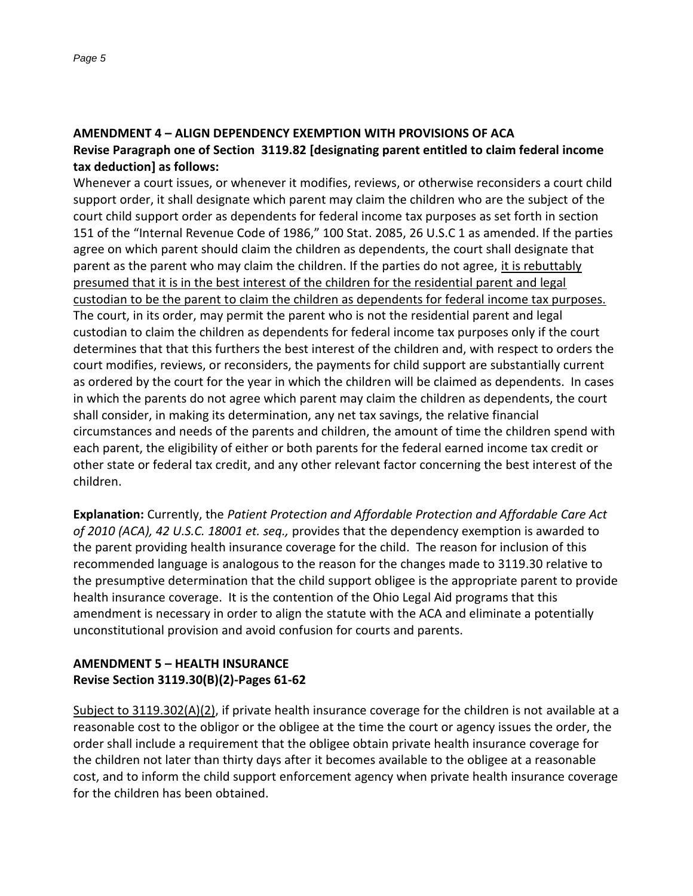#### **AMENDMENT 4 – ALIGN DEPENDENCY EXEMPTION WITH PROVISIONS OF ACA Revise Paragraph one of Section 3119.82 [designating parent entitled to claim federal income tax deduction] as follows:**

Whenever a court issues, or whenever it modifies, reviews, or otherwise reconsiders a court child support order, it shall designate which parent may claim the children who are the subject of the court child support order as dependents for federal income tax purposes as set forth in section 151 of the "Internal Revenue Code of 1986," 100 Stat. 2085, 26 U.S.C 1 as amended. If the parties agree on which parent should claim the children as dependents, the court shall designate that parent as the parent who may claim the children. If the parties do not agree, it is rebuttably presumed that it is in the best interest of the children for the residential parent and legal custodian to be the parent to claim the children as dependents for federal income tax purposes. The court, in its order, may permit the parent who is not the residential parent and legal custodian to claim the children as dependents for federal income tax purposes only if the court determines that that this furthers the best interest of the children and, with respect to orders the court modifies, reviews, or reconsiders, the payments for child support are substantially current as ordered by the court for the year in which the children will be claimed as dependents. In cases in which the parents do not agree which parent may claim the children as dependents, the court shall consider, in making its determination, any net tax savings, the relative financial circumstances and needs of the parents and children, the amount of time the children spend with each parent, the eligibility of either or both parents for the federal earned income tax credit or other state or federal tax credit, and any other relevant factor concerning the best interest of the children.

**Explanation:** Currently, the *Patient Protection and Affordable Protection and Affordable Care Act of 2010 (ACA), 42 U.S.C. 18001 et. seq.,* provides that the dependency exemption is awarded to the parent providing health insurance coverage for the child. The reason for inclusion of this recommended language is analogous to the reason for the changes made to 3119.30 relative to the presumptive determination that the child support obligee is the appropriate parent to provide health insurance coverage. It is the contention of the Ohio Legal Aid programs that this amendment is necessary in order to align the statute with the ACA and eliminate a potentially unconstitutional provision and avoid confusion for courts and parents.

## **AMENDMENT 5 – HEALTH INSURANCE Revise Section 3119.30(B)(2)-Pages 61-62**

Subject to 3119.302(A)(2), if private health insurance coverage for the children is not available at a reasonable cost to the obligor or the obligee at the time the court or agency issues the order, the order shall include a requirement that the obligee obtain private health insurance coverage for the children not later than thirty days after it becomes available to the obligee at a reasonable cost, and to inform the child support enforcement agency when private health insurance coverage for the children has been obtained.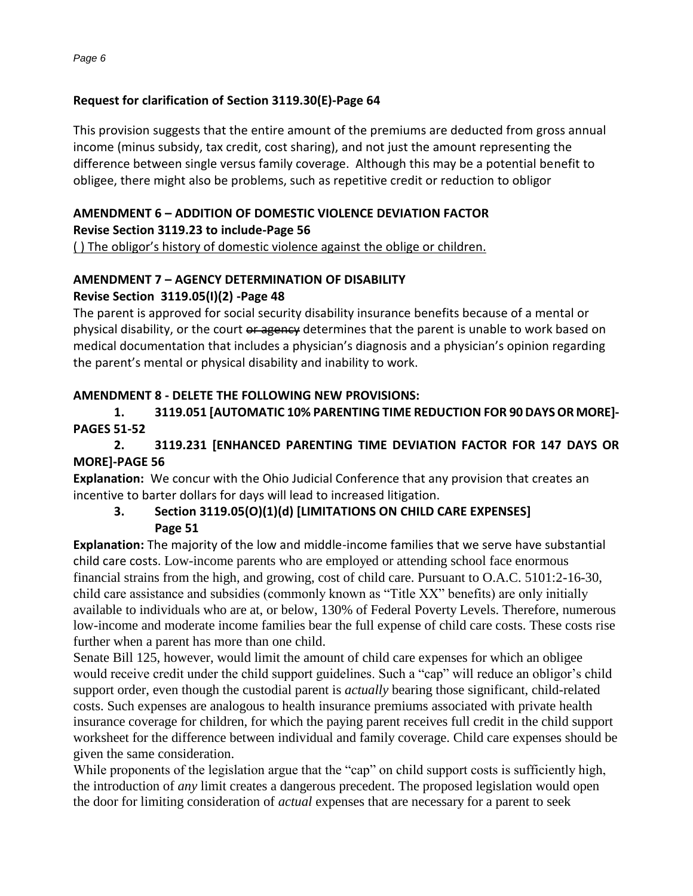### **Request for clarification of Section 3119.30(E)-Page 64**

This provision suggests that the entire amount of the premiums are deducted from gross annual income (minus subsidy, tax credit, cost sharing), and not just the amount representing the difference between single versus family coverage. Although this may be a potential benefit to obligee, there might also be problems, such as repetitive credit or reduction to obligor

#### **AMENDMENT 6 – ADDITION OF DOMESTIC VIOLENCE DEVIATION FACTOR Revise Section 3119.23 to include-Page 56**

( ) The obligor's history of domestic violence against the oblige or children.

#### **AMENDMENT 7 – AGENCY DETERMINATION OF DISABILITY Revise Section 3119.05(I)(2) -Page 48**

The parent is approved for social security disability insurance benefits because of a mental or physical disability, or the court or agency determines that the parent is unable to work based on medical documentation that includes a physician's diagnosis and a physician's opinion regarding the parent's mental or physical disability and inability to work.

### **AMENDMENT 8 - DELETE THE FOLLOWING NEW PROVISIONS:**

**1. 3119.051 [AUTOMATIC 10% PARENTING TIME REDUCTION FOR 90 DAYS OR MORE]- PAGES 51-52**

## **2. 3119.231 [ENHANCED PARENTING TIME DEVIATION FACTOR FOR 147 DAYS OR MORE]-PAGE 56**

**Explanation:** We concur with the Ohio Judicial Conference that any provision that creates an incentive to barter dollars for days will lead to increased litigation.

## **3. Section 3119.05(O)(1)(d) [LIMITATIONS ON CHILD CARE EXPENSES] Page 51**

**Explanation:** The majority of the low and middle-income families that we serve have substantial child care costs. Low-income parents who are employed or attending school face enormous financial strains from the high, and growing, cost of child care. Pursuant to O.A.C. 5101:2-16-30, child care assistance and subsidies (commonly known as "Title XX" benefits) are only initially available to individuals who are at, or below, 130% of Federal Poverty Levels. Therefore, numerous low-income and moderate income families bear the full expense of child care costs. These costs rise further when a parent has more than one child.

Senate Bill 125, however, would limit the amount of child care expenses for which an obligee would receive credit under the child support guidelines. Such a "cap" will reduce an obligor's child support order, even though the custodial parent is *actually* bearing those significant, child-related costs. Such expenses are analogous to health insurance premiums associated with private health insurance coverage for children, for which the paying parent receives full credit in the child support worksheet for the difference between individual and family coverage. Child care expenses should be given the same consideration.

While proponents of the legislation argue that the "cap" on child support costs is sufficiently high, the introduction of *any* limit creates a dangerous precedent. The proposed legislation would open the door for limiting consideration of *actual* expenses that are necessary for a parent to seek